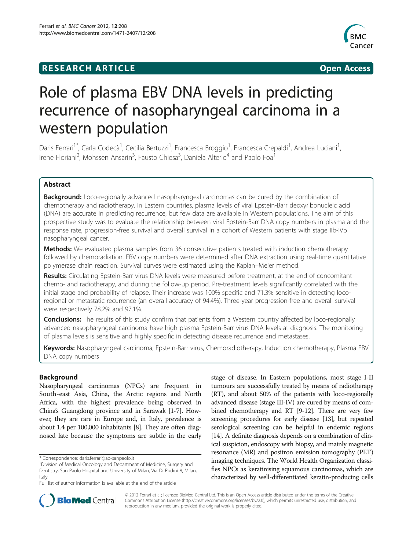# **RESEARCH ARTICLE Example 2014 CONSIDERING CONSIDERING CONSIDERING CONSIDERING CONSIDERING CONSIDERING CONSIDERING CONSIDERING CONSIDERING CONSIDERING CONSIDERING CONSIDERING CONSIDERING CONSIDERING CONSIDERING CONSIDE**



# Role of plasma EBV DNA levels in predicting recurrence of nasopharyngeal carcinoma in a western population

Daris Ferrari<sup>1\*</sup>, Carla Codecà<sup>1</sup>, Cecilia Bertuzzi<sup>1</sup>, Francesca Broggio<sup>1</sup>, Francesca Crepaldi<sup>1</sup>, Andrea Luciani<sup>1</sup> , Irene Floriani<sup>2</sup>, Mohssen Ansarin<sup>3</sup>, Fausto Chiesa<sup>3</sup>, Daniela Alterio<sup>4</sup> and Paolo Foa<sup>1</sup>

# Abstract

**Background:** Loco-regionally advanced nasopharyngeal carcinomas can be cured by the combination of chemotherapy and radiotherapy. In Eastern countries, plasma levels of viral Epstein-Barr deoxyribonucleic acid (DNA) are accurate in predicting recurrence, but few data are available in Western populations. The aim of this prospective study was to evaluate the relationship between viral Epstein-Barr DNA copy numbers in plasma and the response rate, progression-free survival and overall survival in a cohort of Western patients with stage IIb-IVb nasopharyngeal cancer.

Methods: We evaluated plasma samples from 36 consecutive patients treated with induction chemotherapy followed by chemoradiation. EBV copy numbers were determined after DNA extraction using real-time quantitative polymerase chain reaction. Survival curves were estimated using the Kaplan–Meier method.

Results: Circulating Epstein-Barr virus DNA levels were measured before treatment, at the end of concomitant chemo- and radiotherapy, and during the follow-up period. Pre-treatment levels significantly correlated with the initial stage and probability of relapse. Their increase was 100% specific and 71.3% sensitive in detecting locoregional or metastatic recurrence (an overall accuracy of 94.4%). Three-year progression-free and overall survival were respectively 78.2% and 97.1%.

**Conclusions:** The results of this study confirm that patients from a Western country affected by loco-regionally advanced nasopharyngeal carcinoma have high plasma Epstein-Barr virus DNA levels at diagnosis. The monitoring of plasma levels is sensitive and highly specific in detecting disease recurrence and metastases.

Keywords: Nasopharyngeal carcinoma, Epstein-Barr virus, Chemoradiotherapy, Induction chemotherapy, Plasma EBV DNA copy numbers

# Background

Nasopharyngeal carcinomas (NPCs) are frequent in South-east Asia, China, the Arctic regions and North Africa, with the highest prevalence being observed in China's Guangdong province and in Sarawak [\[1-7\]](#page-5-0). However, they are rare in Europe and, in Italy, prevalence is about 1.4 per 100,000 inhabitants [[8](#page-5-0)]. They are often diagnosed late because the symptoms are subtle in the early

stage of disease. In Eastern populations, most stage I-II tumours are successfully treated by means of radiotherapy (RT), and about 50% of the patients with loco-regionally advanced disease (stage III-IV) are cured by means of combined chemotherapy and RT [\[9-12\]](#page-5-0). There are very few screening procedures for early disease [\[13\]](#page-5-0), but repeated serological screening can be helpful in endemic regions [[14](#page-5-0)]. A definite diagnosis depends on a combination of clinical suspicion, endoscopy with biopsy, and mainly magnetic resonance (MR) and positron emission tomography (PET) imaging techniques. The World Health Organization classifies NPCs as keratinising squamous carcinomas, which are characterized by well-differentiated keratin-producing cells



© 2012 Ferrari et al.; licensee BioMed Central Ltd. This is an Open Access article distributed under the terms of the Creative Commons Attribution License [\(http://creativecommons.org/licenses/by/2.0\)](http://creativecommons.org/licenses/by/2.0), which permits unrestricted use, distribution, and reproduction in any medium, provided the original work is properly cited.

<sup>\*</sup> Correspondence: [daris.ferrari@ao-sanpaolo.it](mailto:daris.ferrari@ao-sanpaolo.it) <sup>1</sup>

<sup>&</sup>lt;sup>1</sup> Division of Medical Oncology and Department of Medicine, Surgery and Dentistry, San Paolo Hospital and University of Milan, Via Di Rudinì 8, Milan, Italy

Full list of author information is available at the end of the article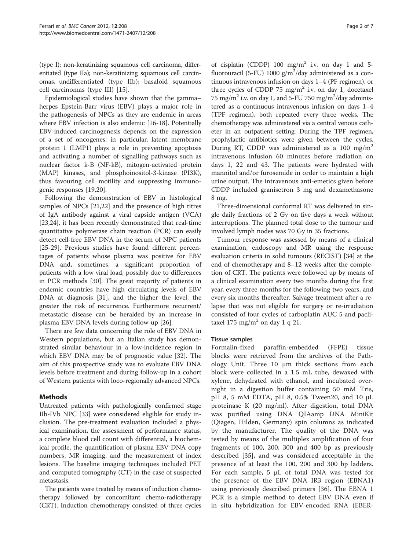(type I); non-keratinizing squamous cell carcinoma, differentiated (type IIa); non-keratinizing squamous cell carcinomas, undifferentiated (type IIb); basaloid squamous cell carcinomas (type III) [\[15](#page-5-0)].

Epidemiological studies have shown that the gamma– herpes Epstein-Barr virus (EBV) plays a major role in the pathogenesis of NPCs as they are endemic in areas where EBV infection is also endemic [\[16](#page-5-0)-[18\]](#page-5-0). Potentially EBV-induced carcinogenesis depends on the expression of a set of oncogenes: in particular, latent membrane protein 1 (LMP1) plays a role in preventing apoptosis and activating a number of signalling pathways such as nuclear factor k-B (NF-kB), mitogen-activated protein (MAP) kinases, and phosphoinositol-3-kinase (PI3K), thus favouring cell motility and suppressing immunogenic responses [[19,20\]](#page-5-0).

Following the demonstration of EBV in histological samples of NPCs [\[21,22\]](#page-5-0) and the presence of high titres of IgA antibody against a viral capside antigen (VCA) [[23,24\]](#page-5-0), it has been recently demonstrated that real-time quantitative polymerase chain reaction (PCR) can easily detect cell-free EBV DNA in the serum of NPC patients [[25-](#page-5-0)[29](#page-6-0)]. Previous studies have found different percentages of patients whose plasma was positive for EBV DNA and, sometimes, a significant proportion of patients with a low viral load, possibly due to differences in PCR methods [\[30\]](#page-6-0). The great majority of patients in endemic countries have high circulating levels of EBV DNA at diagnosis [[31\]](#page-6-0), and the higher the level, the greater the risk of recurrence. Furthermore recurrent/ metastatic disease can be heralded by an increase in plasma EBV DNA levels during follow-up [\[26](#page-5-0)].

There are few data concerning the role of EBV DNA in Western populations, but an Italian study has demonstrated similar behaviour in a low-incidence region in which EBV DNA may be of prognostic value [\[32](#page-6-0)]. The aim of this prospective study was to evaluate EBV DNA levels before treatment and during follow-up in a cohort of Western patients with loco-regionally advanced NPCs.

# Methods

Untreated patients with pathologically confirmed stage IIb-IVb NPC [[33](#page-6-0)] were considered eligible for study inclusion. The pre-treatment evaluation included a physical examination, the assessment of performance status, a complete blood cell count with differential, a biochemical profile, the quantification of plasma EBV DNA copy numbers, MR imaging, and the measurement of index lesions. The baseline imaging techniques included PET and computed tomography (CT) in the case of suspected metastasis.

The patients were treated by means of induction chemotherapy followed by concomitant chemo-radiotherapy (CRT). Induction chemotherapy consisted of three cycles

of cisplatin (CDDP) 100  $mg/m^2$  i.v. on day 1 and 5fluorouracil (5-FU) 1000  $g/m^2$ /day administered as a continuous intravenous infusion on days 1–4 (PF regimen), or three cycles of CDDP 75 mg/m<sup>2</sup> i.v. on day 1, docetaxel 75 mg/m<sup>2</sup> i.v. on day 1, and 5-FU 750 mg/m<sup>2</sup>/day administered as a continuous intravenous infusion on days 1–4 (TPF regimen), both repeated every three weeks. The chemotherapy was administered via a central venous catheter in an outpatient setting. During the TPF regimen, prophylactic antibiotics were given between the cycles. During RT, CDDP was administered as a 100 mg/m<sup>2</sup> intravenous infusion 60 minutes before radiation on days 1, 22 and 43. The patients were hydrated with mannitol and/or furosemide in order to maintain a high urine output. The intravenous anti-emetics given before CDDP included granisetron 3 mg and dexamethasone 8 mg.

Three-dimensional conformal RT was delivered in single daily fractions of 2 Gy on five days a week without interruptions. The planned total dose to the tumour and involved lymph nodes was 70 Gy in 35 fractions.

Tumour response was assessed by means of a clinical examination, endoscopy and MR using the response evaluation criteria in solid tumours (RECIST) [[34\]](#page-6-0) at the end of chemotherapy and 8–12 weeks after the completion of CRT. The patients were followed up by means of a clinical examination every two months during the first year, every three months for the following two years, and every six months thereafter. Salvage treatment after a relapse that was not eligible for surgery or re-irradiation consisted of four cycles of carboplatin AUC 5 and paclitaxel 175 mg/m<sup>2</sup> on day 1 q 21.

# Tissue samples

Formalin-fixed paraffin-embedded (FFPE) tissue blocks were retrieved from the archives of the Pathology Unit. Three 10 μm thick sections from each block were collected in a 1.5 mL tube, dewaxed with xylene, dehydrated with ethanol, and incubated overnight in a digestion buffer containing 50 mM Tris, pH 8, 5 mM EDTA, pH 8, 0.5% Tween20, and 10 μL proteinase K (20 mg/ml). After digestion, total DNA was purified using DNA QIAamp DNA MiniKit (Qiagen, Hilden, Germany) spin columns as indicated by the manufacturer. The quality of the DNA was tested by means of the multiplex amplification of four fragments of 100, 200, 300 and 400 bp as previously described [[35\]](#page-6-0), and was considered acceptable in the presence of at least the 100, 200 and 300 bp ladders. For each sample, 5 μL of total DNA was tested for the presence of the EBV DNA IR3 region (EBNA1) using previously described primers [\[36\]](#page-6-0). The EBNA 1 PCR is a simple method to detect EBV DNA even if in situ hybridization for EBV-encoded RNA (EBER-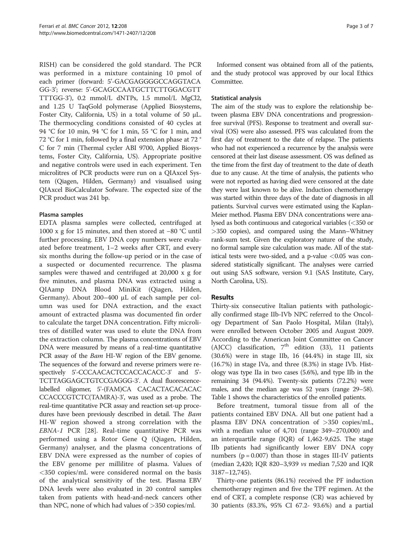RISH) can be considered the gold standard. The PCR was performed in a mixture containing 10 pmol of each primer (forward: 5'-GACGAGGGGCCAGGTACA GG-3'; reverse: 5'-GCAGCCAATGCTTCTTGGACGTT TTTGG-3'), 0.2 mmol/L dNTPs, 1.5 mmol/L MgCl2, and 1.25 U TaqGold polymerase (Applied Biosystems, Foster City, California, US) in a total volume of 50 μL. The thermocycling conditions consisted of 40 cycles at 94 °C for 10 min, 94 °C for 1 min, 55 °C for 1 min, and 72 °C for 1 min, followed by a final extension phase at 72 ° C for 7 min (Thermal cycler ABI 9700, Applied Biosystems, Foster City, California, US). Appropriate positive and negative controls were used in each experiment. Ten microlitres of PCR products were run on a QIAxcel System (Qiagen, Hilden, Germany) and visualised using QIAxcel BioCalculator Sofware. The expected size of the PCR product was 241 bp.

# Plasma samples

EDTA plasma samples were collected, centrifuged at 1000 x g for 15 minutes, and then stored at −80 °C until further processing. EBV DNA copy numbers were evaluated before treatment, 1–2 weeks after CRT, and every six months during the follow-up period or in the case of a suspected or documented recurrence. The plasma samples were thawed and centrifuged at 20,000 x g for five minutes, and plasma DNA was extracted using a QIAamp DNA Blood MiniKit (Qiagen, Hilden, Germany). About 200–400 μL of each sample per column was used for DNA extraction, and the exact amount of extracted plasma was documented fin order to calculate the target DNA concentration. Fifty microlitres of distilled water was used to elute the DNA from the extraction column. The plasma concentrations of EBV DNA were measured by means of a real-time quantitative PCR assay of the *Bam* HI-W region of the EBV genome. The sequences of the forward and reverse primers were respectively 5'-CCCAACACTCCACCACACC-3' and 5'- TCTTAGGAGCTGTCCGAGGG-3'. A dual fluorescencelabelled oligomer, 5'-(FAM)CA CACACTACACACAC CCACCCGTCTC(TAMRA)-3', was used as a probe. The real-time quantitative PCR assay and reaction set-up procedures have been previously described in detail. The *Bam* HI-W region showed a strong correlation with the EBNA-1 PCR [[28\]](#page-6-0). Real-time quantitative PCR was performed using a Rotor Gene Q (Qiagen, Hilden, Germany) analyser, and the plasma concentrations of EBV DNA were expressed as the number of copies of the EBV genome per millilitre of plasma. Values of <350 copies/mL were considered normal on the basis of the analytical sensitivity of the test. Plasma EBV DNA levels were also evaluated in 20 control samples taken from patients with head-and-neck cancers other than NPC, none of which had values of  $>$ 350 copies/ml.

Informed consent was obtained from all of the patients, and the study protocol was approved by our local Ethics Committee.

# Statistical analysis

The aim of the study was to explore the relationship between plasma EBV DNA concentrations and progressionfree survival (PFS). Response to treatment and overall survival (OS) were also assessed. PFS was calculated from the first day of treatment to the date of relapse. The patients who had not experienced a recurrence by the analysis were censored at their last disease assessment. OS was defined as the time from the first day of treatment to the date of death due to any cause. At the time of analysis, the patients who were not reported as having died were censored at the date they were last known to be alive. Induction chemotherapy was started within three days of the date of diagnosis in all patients. Survival curves were estimated using the Kaplan-Meier method. Plasma EBV DNA concentrations were analysed as both continuous and categorical variables (<350 or >350 copies), and compared using the Mann–Whitney rank-sum test. Given the exploratory nature of the study, no formal sample size calculation was made. All of the statistical tests were two-sided, and a p-value  $< 0.05$  was considered statistically significant. The analyses were carried out using SAS software, version 9.1 (SAS Institute, Cary, North Carolina, US).

# Results

Thirty-six consecutive Italian patients with pathologically confirmed stage IIb-IVb NPC referred to the Oncology Department of San Paolo Hospital, Milan (Italy), were enrolled between October 2005 and August 2009. According to the American Joint Committee on Cancer (AJCC) classification,  $7<sup>th</sup>$  edition (33), 11 patients (30.6%) were in stage IIb, 16 (44.4%) in stage III, six (16.7%) in stage IVa, and three (8.3%) in stage IVb. Histology was type IIa in two cases (5.6%), and type IIb in the remaining 34 (94.4%). Twenty-six patients (72.2%) were males, and the median age was 52 years (range 29–58). Table [1](#page-3-0) shows the characteristics of the enrolled patients.

Before treatment, tumoral tissue from all of the patients contained EBV DNA. All but one patient had a plasma EBV DNA concentration of >350 copies/mL, with a median value of 4,701 (range 349–270,000) and an interquartile range (IQR) of 1,462-9,625. The stage IIb patients had significantly lower EBV DNA copy numbers ( $p = 0.007$ ) than those in stages III-IV patients (median 2,420; IQR 820–3,939 vs median 7,520 and IQR 3187–12,745).

Thirty-one patients (86.1%) received the PF induction chemotherapy regimen and five the TPF regimen. At the end of CRT, a complete response (CR) was achieved by 30 patients (83.3%, 95% CI 67.2- 93.6%) and a partial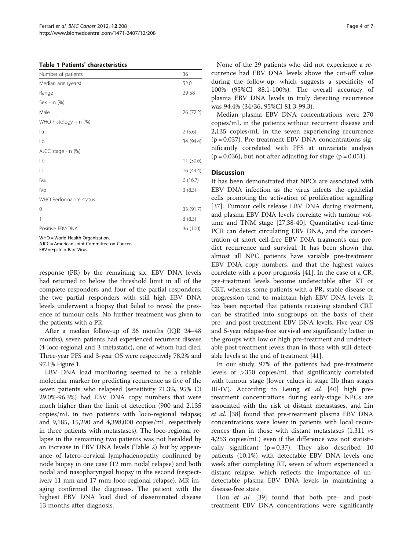#### <span id="page-3-0"></span>Table 1 Patients' characteristics

| Number of patients     | 36        |
|------------------------|-----------|
| Median age (years)     | 52.0      |
| Range                  | 29-58     |
| $Sex - n$ (%)          |           |
| Male                   | 26 (72.2) |
| WHO histology - n (%)  |           |
| lla                    | 2(5.6)    |
| IIb                    | 34 (94.4) |
| AJCC stage - n (%)     |           |
| IIb                    | 11(30.6)  |
| $\parallel \parallel$  | 16 (44.4) |
| IVa                    | 6(16.7)   |
| <b>IVb</b>             | 3(8.3)    |
| WHO Performance status |           |
| $\mathbf 0$            | 33 (91.7) |
| 1                      | 3(8.3)    |
| Positive EBV-DNA       | 36 (100)  |

WHO = World Health Organization.

AJCC = American Joint Committee on Cancer.

EBV = Epstein-Barr Virus.

response (PR) by the remaining six. EBV DNA levels had returned to below the threshold limit in all of the complete responders and four of the partial responders; the two partial responders with still high EBV DNA levels underwent a biopsy that failed to reveal the presence of tumour cells. No further treatment was given to the patients with a PR.

After a median follow-up of 36 months (IQR 24–48 months), seven patients had experienced recurrent disease (4 loco-regional and 3 metastatic), one of whom had died. Three-year PFS and 3-year OS were respectively 78.2% and 97.1% Figure [1](#page-4-0).

EBV DNA load monitoring seemed to be a reliable molecular marker for predicting recurrence as five of the seven patients who relapsed (sensitivity 71.3%, 95% CI 29.0%-96.3%) had EBV DNA copy numbers that were much higher than the limit of detection (900 and 2,135 copies/mL in two patients with loco-regional relapse; and 9,185, 15,290 and 4,398,000 copies/mL respectively in three patients with metastases). The loco-regional relapse in the remaining two patients was not heralded by an increase in EBV DNA levels (Table [2\)](#page-4-0) but by appearance of latero-cervical lymphadenopathy confirmed by node biopsy in one case (12 mm nodal relapse) and both nodal and nasopharyngeal biopsy in the second (respectively 11 mm and 17 mm; loco-regional relapse). MR imaging confirmed the diagnoses. The patient with the highest EBV DNA load died of disseminated disease 13 months after diagnosis.

None of the 29 patients who did not experience a recurrence had EBV DNA levels above the cut-off value during the follow-up, which suggests a specificity of 100% (95%CI 88.1-100%). The overall accuracy of plasma EBV DNA levels in truly detecting recurrence was 94.4% (34/36, 95%CI 81.3-99.3).

Median plasma EBV DNA concentrations were 270 copies/mL in the patients without recurrent disease and 2,135 copies/mL in the seven experiencing recurrence (p = 0.037). Pre-treatment EBV DNA concentrations significantly correlated with PFS at univariate analysis  $(p = 0.036)$ , but not after adjusting for stage  $(p = 0.051)$ .

#### **Discussion**

It has been demonstrated that NPCs are associated with EBV DNA infection as the virus infects the epithelial cells promoting the activation of proliferation signalling [[37\]](#page-6-0). Tumour cells release EBV DNA during treatment, and plasma EBV DNA levels correlate with tumour volume and TNM stage [[27,38-40\]](#page-6-0). Quantitative real-time PCR can detect circulating EBV DNA, and the concentration of short cell-free EBV DNA fragments can predict recurrence and survival. It has been shown that almost all NPC patients have variable pre-treatment EBV DNA copy numbers, and that the highest values correlate with a poor prognosis [\[41](#page-6-0)]. In the case of a CR, pre-treatment levels become undetectable after RT or CRT, whereas some patients with a PR, stable disease or progression tend to maintain high EBV DNA levels. It has been reported that patients receiving standard CRT can be stratified into subgroups on the basis of their pre- and post-treatment EBV DNA levels. Five-year OS and 5-year relapse-free survival are significantly better in the groups with low or high pre-treatment and undetectable post-treatment levels than in those with still detectable levels at the end of treatment [[41\]](#page-6-0).

In our study, 97% of the patients had pre-treatment levels of >350 copies/mL that significantly correlated with tumour stage (lower values in stage IIb than stages III-IV). According to Leung et al. [[40\]](#page-6-0) high pretreatment concentrations during early-stage NPCs are associated with the risk of distant metastases, and Lin et al. [\[38\]](#page-6-0) found that pre-treatment plasma EBV DNA concentrations were lower in patients with local recurrences than in those with distant metastases  $(1,311 \text{ vs } 1,311)$ 4,253 copies/mL) even if the difference was not statistically significant ( $p = 0.37$ ). They also described 10 patients (10.1%) with detectable EBV DNA levels one week after completing RT, seven of whom experienced a distant relapse, which reflects the importance of undetectable plasma EBV DNA levels in maintaining a disease-free state.

Hou et al. [\[39](#page-6-0)] found that both pre- and posttreatment EBV DNA concentrations were significantly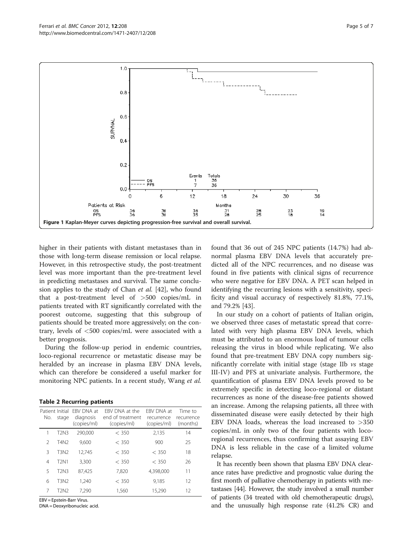<span id="page-4-0"></span>

higher in their patients with distant metastases than in those with long-term disease remission or local relapse. However, in this retrospective study, the post-treatment level was more important than the pre-treatment level in predicting metastases and survival. The same conclusion applies to the study of Chan et al. [\[42\]](#page-6-0), who found that a post-treatment level of >500 copies/mL in patients treated with RT significantly correlated with the poorest outcome, suggesting that this subgroup of patients should be treated more aggressively; on the contrary, levels of <500 copies/mL were associated with a better prognosis.

During the follow-up period in endemic countries, loco-regional recurrence or metastatic disease may be heralded by an increase in plasma EBV DNA levels, which can therefore be considered a useful marker for monitoring NPC patients. In a recent study, Wang et al.

#### Table 2 Recurring patients

| Patient Initial<br>No. | stage            | FRV DNA at<br>diagnosis<br>(copies/ml) | FRV DNA at the<br>end of treatment<br>(copies/ml) | FRV DNA at<br>recurrence<br>(copies/ml) | Time to<br>recurrence<br>(months) |
|------------------------|------------------|----------------------------------------|---------------------------------------------------|-----------------------------------------|-----------------------------------|
| 1                      | <b>T2N3</b>      | 290.000                                | $<$ 350                                           | 2,135                                   | 14                                |
| 2                      | T4N <sub>2</sub> | 9.600                                  | $<$ 350                                           | 900                                     | 25                                |
| 3                      | <b>T3N2</b>      | 12.745                                 | $<$ 350                                           | $<$ 350                                 | 18                                |
| 4                      | <b>T2N1</b>      | 3.300                                  | $<$ 350                                           | $<$ 350                                 | 26                                |
| 5                      | T2N3             | 87.425                                 | 7,820                                             | 4,398,000                               | 11                                |
| 6                      | <b>T3N2</b>      | 1.240                                  | $<$ 350                                           | 9.185                                   | 12                                |
| 7                      | T2N2             | 7.290                                  | 1,560                                             | 15.290                                  | 12                                |

EBV = Epstein-Barr Virus.

DNA = Deoxyribonucleic acid.

found that 36 out of 245 NPC patients (14.7%) had abnormal plasma EBV DNA levels that accurately predicted all of the NPC recurrences, and no disease was found in five patients with clinical signs of recurrence who were negative for EBV DNA. A PET scan helped in identifying the recurring lesions with a sensitivity, specificity and visual accuracy of respectively 81.8%, 77.1%, and 79.2% [[43](#page-6-0)].

In our study on a cohort of patients of Italian origin, we observed three cases of metastatic spread that correlated with very high plasma EBV DNA levels, which must be attributed to an enormous load of tumour cells releasing the virus in blood while replicating. We also found that pre-treatment EBV DNA copy numbers significantly correlate with initial stage (stage IIb  $\nu s$  stage III-IV) and PFS at univariate analysis. Furthermore, the quantification of plasma EBV DNA levels proved to be extremely specific in detecting loco-regional or distant recurrences as none of the disease-free patients showed an increase. Among the relapsing patients, all three with disseminated disease were easily detected by their high EBV DNA loads, whereas the load increased to  $>350$ copies/mL in only two of the four patients with locoregional recurrences, thus confirming that assaying EBV DNA is less reliable in the case of a limited volume relapse.

It has recently been shown that plasma EBV DNA clearance rates have predictive and prognostic value during the first month of palliative chemotherapy in patients with metastases [[44](#page-6-0)]. However, the study involved a small number of patients (34 treated with old chemotherapeutic drugs), and the unusually high response rate (41.2% CR) and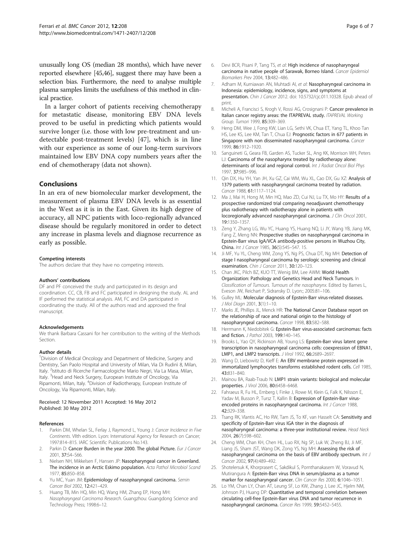<span id="page-5-0"></span>unusually long OS (median 28 months), which have never reported elsewhere [\[45,46\]](#page-6-0), suggest there may have been a selection bias. Furthermore, the need to analyse multiple plasma samples limits the usefulness of this method in clinical practice.

In a larger cohort of patients receiving chemotherapy for metastatic disease, monitoring EBV DNA levels proved to be useful in predicting which patients would survive longer (i.e. those with low pre-treatment and undetectable post-treatment levels) [\[47\]](#page-6-0), which is in line with our experience as some of our long-term survivors maintained low EBV DNA copy numbers years after the end of chemotherapy (data not shown).

# Conclusions

In an era of new biomolecular marker development, the measurement of plasma EBV DNA levels is as essential in the West as it is in the East. Given its high degree of accuracy, all NPC patients with loco-regionally advanced disease should be regularly monitored in order to detect any increase in plasma levels and diagnose recurrence as early as possible.

#### Competing interests

The authors declare that they have no competing interests.

#### Authors' contributions

DF and PF conceived the study and participated in its design and coordination. CC, CB, FB and FC participated in designing the study. AL and IF performed the statistical analysis. AM, FC and DA participated in coordinating the study. All of the authors read and approved the final manuscript.

#### Acknowledgements

We thank Barbara Cassani for her contribution to the writing of the Methods Section.

#### Author details

<sup>1</sup> Division of Medical Oncology and Department of Medicine, Surgery and Dentistry, San Paolo Hospital and University of Milan, Via Di Rudinì 8, Milan, Italy. <sup>2</sup>Istituto di Ricerche Farmacologiche Mario Negri, Via La Masa, Milan, Italy. <sup>3</sup>Head and Neck Surgery, European Institute of Oncology, Via Ripamonti, Milan, Italy. <sup>4</sup>Division of Radiotherapy, European Institute of Oncology, Via Ripamonti, Milan, Italy.

#### Received: 12 November 2011 Accepted: 16 May 2012 Published: 30 May 2012

#### References

- Parkin DM, Whelan SL, Ferlay J, Raymond L, Young J: Cancer Incidence in Five Continents. VIIth edition. Lyon: International Agency for Research on Cancer; 1997:814–815. IARC Scientific Publications No.143.
- 2. Parkin D: Cancer Burden in the year 2000. The global Picture. Eur J Cancer 2001, 37:S4–S66.
- Nielsen NH, Mikkelsen F, Hansen JP: Nasopharyngeal cancer in Greenland. The incidence in an Arctic Eskimo population. Acta Pathol Microbiol Scand 1977, 85:850–858.
- 4. Yu MC, Yuan JM: Epidemiology of nasopharyngeal carcinoma. Semin Cancer Biol 2002, 12:421–429.
- 5. Huang TB, Min HQ, Min HQ, Wang HM, Zhang EP, Hong MH: Nasopharyngeal Carcinoma Research. Guangzhou: Guangdong Science and Technology Press; 1998:6–12.
- Devi BCR, Pisani P, Tang TS, et al: High incidence of nasopharyngeal carcinoma in native people of Sarawak, Borneo Island. Cancer Epidemiol Biomarkers Prev 2004, 13:482–486.
- 7. Adham M, Kurniawan AN, Muhtadi AI, et al: Nasopharyngeal carcinoma in Indonesia: epidemiology, incidence, signs, and symptoms at presentation. Chin J Cancer 2012. doi[: 10.5732/cjc.011.10328.](http://dx.doi.org/10.5732/cjc.011.10328) Epub ahead of print.
- 8. Micheli A, Francisci S, Krogh V, Rossi AG, Crosignani P: Cancer prevalence in Italian cancer registry areas: the ITAPREVAL study. ITAPREVAL Working Group. Tumori 1999, 85:309–369.
- Heng DM, Wee J, Fong KW, Lian LG, Sethi VK, Chua ET, Yang TL, Khoo Tan HS, Lee KS, Lee KM, Tan T, Chua EJ: Prognostic factors in 677 patients in Singapore with non disseminated nasopharyngeal carcinoma. Cancer 1999, 86:1912–1920.
- 10. Sanguineti G, Geara FB, Garden AS, Tucker SL, Ang KK, Morrison WH, Peters LJ: Carcinoma of the nasopharynx treated by radiotherapy alone: determinants of local and regional control. Int J Radiat Oncol Biol Phys 1997, 37:985–996.
- 11. Qin DX, Hu YH, Yan JH, Xu GZ, Cai WM, Wu XL, Cao DX, Gu XZ: Analysis of 1379 patients with nasopharyngeal carcinoma treated by radiation. Cancer 1988, 61:1117–1124.
- 12. Ma J, Mai H, Hong M, Min HQ, Mao ZD, Cui NJ, Lu TX, Mo HY: Results of a prospective randomized trial comparing neoadjuvant chemotherapy plus radiotherapy with radiotherapy alone in patients with locoregionally advanced nasopharyngeal carcinoma. J Clin Oncol 2001, 19:1350–1357.
- 13. Zeng Y, Zhang LG, Wu YC, Huang YS, Huang NQ, Li JY, Wang YB, Jiang MK, Fang Z, Meng NN: Prospective studies on nasopharyngeal carcinoma in Epstein-Barr virus IgA/VCA antibody-positive persons in Wuzhou City, China. Int J Cancer 1985, 36(5):545–547. 15.
- 14. Ji MF, Yu YL, Cheng WM, Zong YS, Ng PS, Chua DT, Ng MH: Detection of stage I nasopharyngeal carcinoma by serologic screening and clinical examination. Chin J Cancer 2011, 30:120–123.
- 15. Chan JKC, Pilch BZ, KUO TT, Wenig BM, Lee AWM: World Health Organization: Pathology and Genetics Head and Neck Tumours. In Classification of Tumours. Tumours of the nasopharynx. Edited by Barnes L, Eveson JW, Reichart P, Sidransky D. Lyon:; 2005:81–106.
- 16. Gulley ML: Molecular diagnosis of Epstein-Barr virus-related diseases. J Mol Diagn 2001, 3(1):1–10.
- 17. Marks JE, Phillips JL, Menck HR: The National Cancer Database report on the relationship of race and national origin to the histology of nasopharyngeal carcinoma. Cancer 1998, 83:582–588.
- 18. Herrmann K, Niedobitek G: Epstein-Barr virus-associated carcinomas: facts and fiction. J Pathol 2003, 199:140–145.
- 19. Brooks L, Yao QY, Rickinson AB, Young LS: Epstein-Barr virus latent gene transcription in nasopharyngeal carcinoma cells: coexpression of EBNA1, LMP1, and LMP2 transcripts. J Virol 1992, 66:2689–2697.
- 20. Wang D, Liebowitz D, Kieff E: An EBV membrane protein expressed in immortalized lymphocytes transforms established rodent cells. Cell 1985, 43:831–840.
- 21. Mainou BA, Raab-Traub N: LMP1 strain variants: biological and molecular properties. J Virol 2006, 80:6458–6468.
- 22. Fahraeus R, Fu HL, Ernberg I, Finke J, Rowe M, Klein G, Falk K, Nilsson E, Yadav M, Busson P, Tursz T, Kallin B: Expression of Epstein-Barr virusencoded proteins in nasopharyngeal carcinoma. Int J Cancer 1988, 42:329–338.
- 23. Tsang RK, Vlantis AC, Ho RW, Tam JS, To KF, van Hasselt CA: Sensitivity and specificity of Epstein-Barr virus IGA titer in the diagnosis of nasopharyngeal carcinoma: a three-year institutional review. Head Neck 2004, 26(7):598–602.
- 24. Cheng WM, Chan KH, Chen HL, Luo RX, Ng SP, Luk W, Zheng BJ, Ji MF, Liang JS, Sham JST, Wang DK, Zong YS, Ng MH: Assessing the risk of nasopharyngeal carcinoma on the basis of EBV antibody spectrum. Int J Cancer 2002, 97(4):489-492.
- 25. Shotelersuk K, Khorprasert C, Sakdikul S, Pornthanakasem W, Voravud N, Mutirangura A: Epstein-Barr virus DNA in serum/plasma as a tumor marker for nasopharyngeal cancer. Clin Cancer Res 2000, 6:1046–1051.
- 26. Lo YM, Chan LY, Chan AT, Leung SF, Lo KW, Zhang J, Lee JC, Hjelm NM, Johnson PJ, Huang DP: Quantitative and temporal correlation between circulating cell-free Epstein-Barr virus DNA and tumor recurrence in nasopharyngeal carcinoma. Cancer Res 1999, 59:5452–5455.